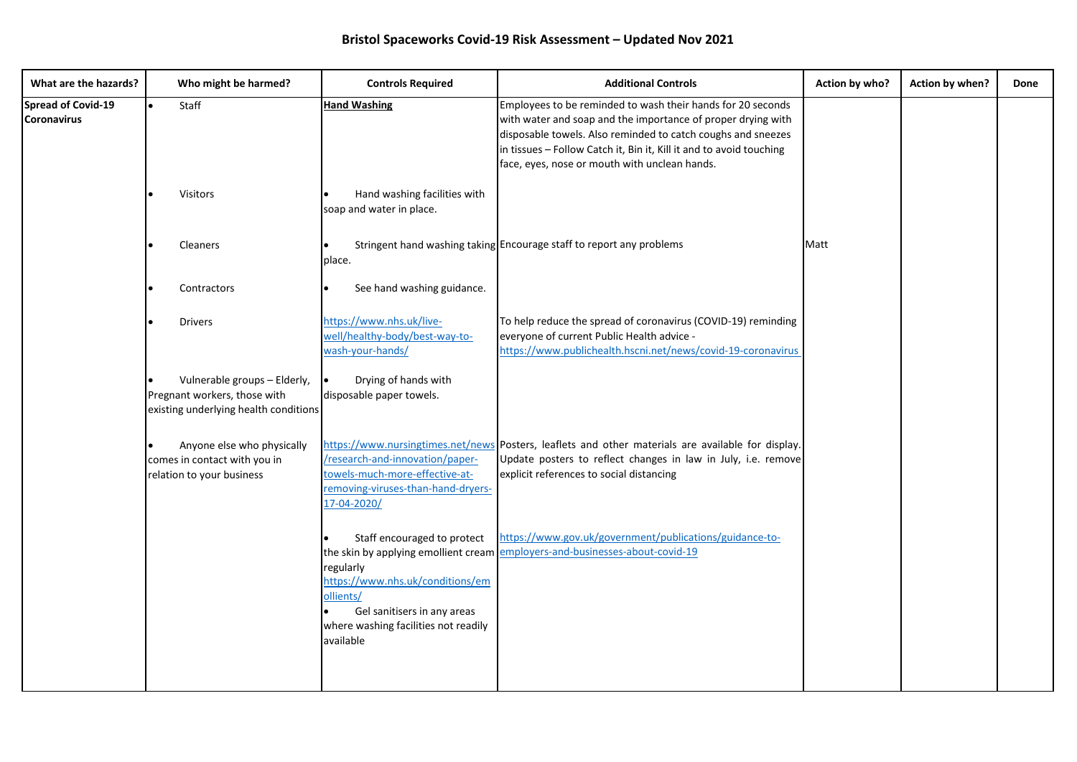| What are the hazards?                           | Who might be harmed?                                                                                  | <b>Controls Required</b>                                                                                                                                                      | <b>Additional Controls</b>                                                                                                                                                                                                                                                                                          | Action by who? | Action by when? | Done |
|-------------------------------------------------|-------------------------------------------------------------------------------------------------------|-------------------------------------------------------------------------------------------------------------------------------------------------------------------------------|---------------------------------------------------------------------------------------------------------------------------------------------------------------------------------------------------------------------------------------------------------------------------------------------------------------------|----------------|-----------------|------|
| <b>Spread of Covid-19</b><br><b>Coronavirus</b> | Staff                                                                                                 | <b>Hand Washing</b>                                                                                                                                                           | Employees to be reminded to wash their hands for 20 seconds<br>with water and soap and the importance of proper drying with<br>disposable towels. Also reminded to catch coughs and sneezes<br>in tissues - Follow Catch it, Bin it, Kill it and to avoid touching<br>face, eyes, nose or mouth with unclean hands. |                |                 |      |
|                                                 | Visitors                                                                                              | Hand washing facilities with<br>soap and water in place.                                                                                                                      |                                                                                                                                                                                                                                                                                                                     |                |                 |      |
|                                                 | Cleaners                                                                                              | place.                                                                                                                                                                        | Stringent hand washing taking Encourage staff to report any problems                                                                                                                                                                                                                                                | Matt           |                 |      |
|                                                 | Contractors                                                                                           | See hand washing guidance.                                                                                                                                                    |                                                                                                                                                                                                                                                                                                                     |                |                 |      |
|                                                 | <b>Drivers</b>                                                                                        | https://www.nhs.uk/live-<br>well/healthy-body/best-way-to-<br>wash-your-hands/                                                                                                | To help reduce the spread of coronavirus (COVID-19) reminding<br>everyone of current Public Health advice -<br>https://www.publichealth.hscni.net/news/covid-19-coronavirus                                                                                                                                         |                |                 |      |
|                                                 | Vulnerable groups - Elderly,<br>Pregnant workers, those with<br>existing underlying health conditions | Drying of hands with<br>l.<br>disposable paper towels.                                                                                                                        |                                                                                                                                                                                                                                                                                                                     |                |                 |      |
|                                                 | Anyone else who physically<br>comes in contact with you in<br>relation to your business               | /research-and-innovation/paper-<br>towels-much-more-effective-at-<br>removing-viruses-than-hand-dryers-<br>17-04-2020/                                                        | https://www.nursingtimes.net/news Posters, leaflets and other materials are available for display.<br>Update posters to reflect changes in law in July, i.e. remove<br>explicit references to social distancing                                                                                                     |                |                 |      |
|                                                 |                                                                                                       | Staff encouraged to protect<br>regularly<br>https://www.nhs.uk/conditions/em<br>ollients/<br>Gel sanitisers in any areas<br>where washing facilities not readily<br>available | https://www.gov.uk/government/publications/guidance-to-<br>the skin by applying emollient cream employers-and-businesses-about-covid-19                                                                                                                                                                             |                |                 |      |
|                                                 |                                                                                                       |                                                                                                                                                                               |                                                                                                                                                                                                                                                                                                                     |                |                 |      |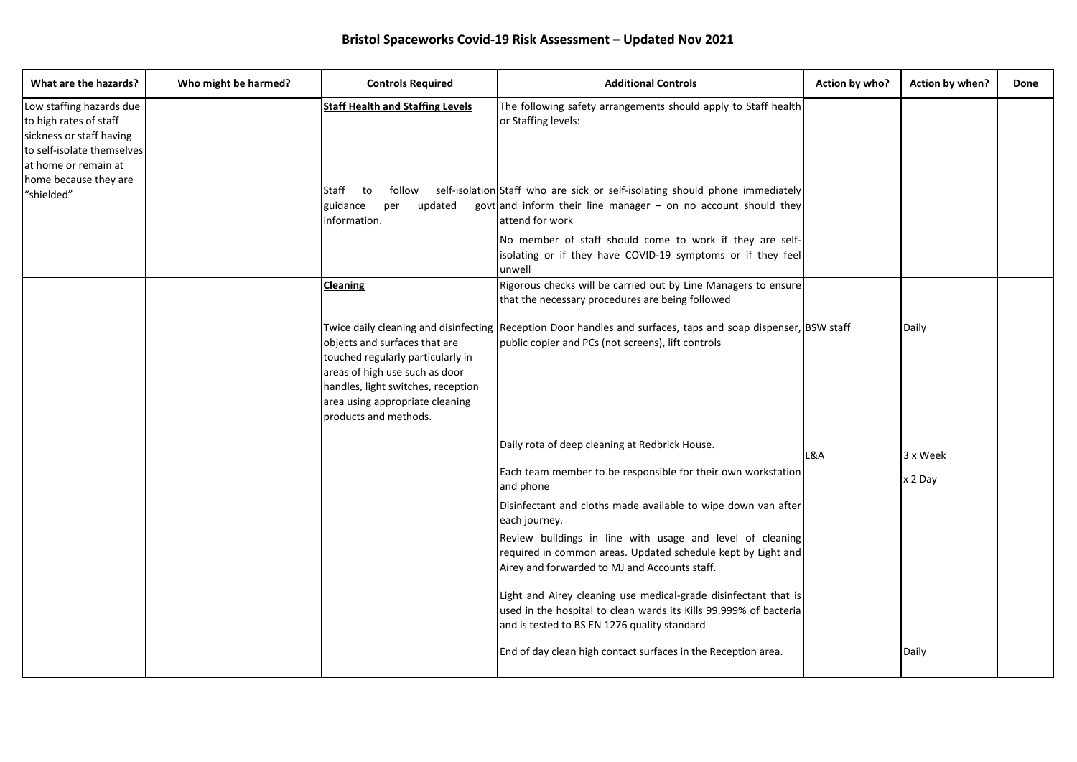| What are the hazards?                                                                                                                                                       | Who might be harmed? | <b>Controls Required</b>                                                                                                                                                                               | <b>Additional Controls</b>                                                                                                                                                                                                                                   | Action by who? | Action by when? | Done |
|-----------------------------------------------------------------------------------------------------------------------------------------------------------------------------|----------------------|--------------------------------------------------------------------------------------------------------------------------------------------------------------------------------------------------------|--------------------------------------------------------------------------------------------------------------------------------------------------------------------------------------------------------------------------------------------------------------|----------------|-----------------|------|
| Low staffing hazards due<br>to high rates of staff<br>sickness or staff having<br>to self-isolate themselves<br>at home or remain at<br>home because they are<br>"shielded" |                      | <b>Staff Health and Staffing Levels</b><br>Staff<br>to<br>follow<br>updated<br>guidance<br>per<br>information.                                                                                         | The following safety arrangements should apply to Staff health<br>or Staffing levels:<br>self-isolation Staff who are sick or self-isolating should phone immediately<br>govt and inform their line manager $-$ on no account should they<br>attend for work |                |                 |      |
|                                                                                                                                                                             |                      |                                                                                                                                                                                                        | No member of staff should come to work if they are self-<br>isolating or if they have COVID-19 symptoms or if they feel<br>unwell                                                                                                                            |                |                 |      |
|                                                                                                                                                                             |                      | <b>Cleaning</b>                                                                                                                                                                                        | Rigorous checks will be carried out by Line Managers to ensure<br>that the necessary procedures are being followed                                                                                                                                           |                |                 |      |
|                                                                                                                                                                             |                      | objects and surfaces that are<br>touched regularly particularly in<br>areas of high use such as door<br>handles, light switches, reception<br>area using appropriate cleaning<br>products and methods. | Twice daily cleaning and disinfecting Reception Door handles and surfaces, taps and soap dispenser, BSW staff<br>public copier and PCs (not screens), lift controls                                                                                          |                | Daily           |      |
|                                                                                                                                                                             |                      |                                                                                                                                                                                                        | Daily rota of deep cleaning at Redbrick House.                                                                                                                                                                                                               | L&A            | 3 x Week        |      |
|                                                                                                                                                                             |                      |                                                                                                                                                                                                        | Each team member to be responsible for their own workstation<br>and phone                                                                                                                                                                                    |                | x 2 Day         |      |
|                                                                                                                                                                             |                      |                                                                                                                                                                                                        | Disinfectant and cloths made available to wipe down van after<br>each journey.<br>Review buildings in line with usage and level of cleaning<br>required in common areas. Updated schedule kept by Light and<br>Airey and forwarded to MJ and Accounts staff. |                |                 |      |
|                                                                                                                                                                             |                      |                                                                                                                                                                                                        | Light and Airey cleaning use medical-grade disinfectant that is<br>used in the hospital to clean wards its Kills 99.999% of bacteria<br>and is tested to BS EN 1276 quality standard                                                                         |                |                 |      |
|                                                                                                                                                                             |                      |                                                                                                                                                                                                        | End of day clean high contact surfaces in the Reception area.                                                                                                                                                                                                |                | Daily           |      |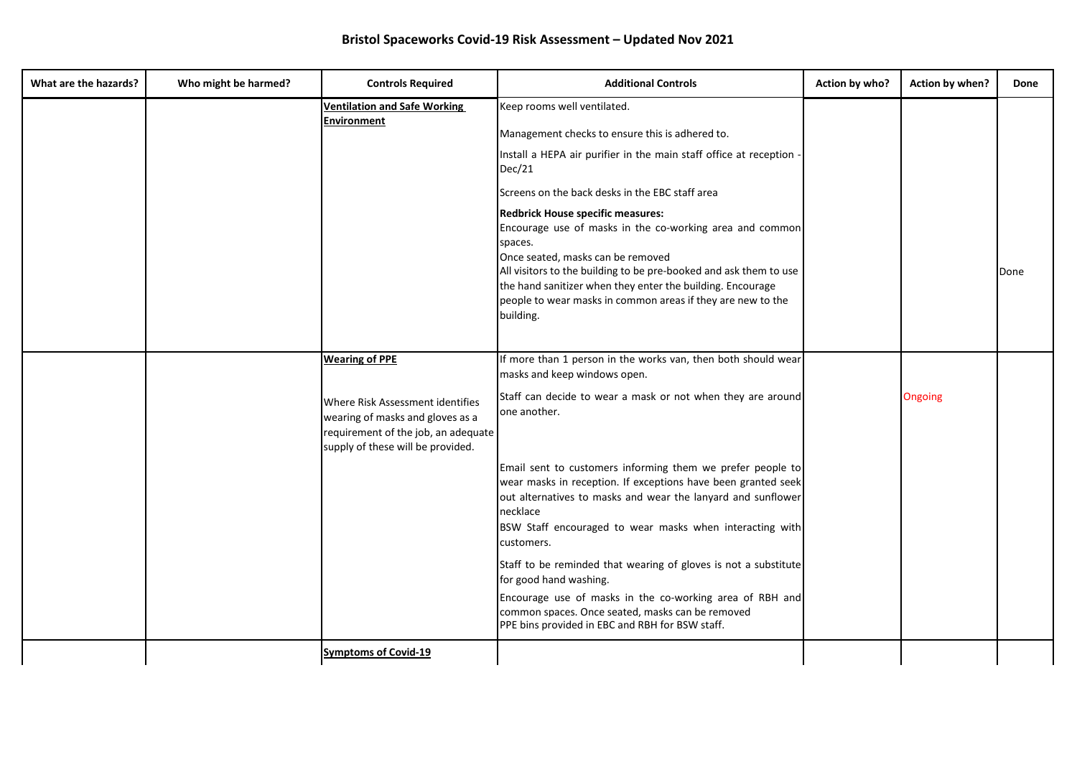| What are the hazards? | Who might be harmed? | <b>Controls Required</b>                                                                                                                         | <b>Additional Controls</b>                                                                                                                                                                                                                                                                                                                                                                                                                                                                                                                                                       | Action by who? | Action by when? | Done |
|-----------------------|----------------------|--------------------------------------------------------------------------------------------------------------------------------------------------|----------------------------------------------------------------------------------------------------------------------------------------------------------------------------------------------------------------------------------------------------------------------------------------------------------------------------------------------------------------------------------------------------------------------------------------------------------------------------------------------------------------------------------------------------------------------------------|----------------|-----------------|------|
|                       |                      | <b>Ventilation and Safe Working</b><br><b>Environment</b>                                                                                        | Keep rooms well ventilated.<br>Management checks to ensure this is adhered to.<br>Install a HEPA air purifier in the main staff office at reception<br>Dec/21<br>Screens on the back desks in the EBC staff area<br>Redbrick House specific measures:<br>Encourage use of masks in the co-working area and common<br>spaces.<br>Once seated, masks can be removed<br>All visitors to the building to be pre-booked and ask them to use<br>the hand sanitizer when they enter the building. Encourage<br>people to wear masks in common areas if they are new to the<br>building. |                |                 | Done |
|                       |                      | <b>Wearing of PPE</b>                                                                                                                            | If more than 1 person in the works van, then both should wear<br>masks and keep windows open.                                                                                                                                                                                                                                                                                                                                                                                                                                                                                    |                |                 |      |
|                       |                      | Where Risk Assessment identifies<br>wearing of masks and gloves as a<br>requirement of the job, an adequate<br>supply of these will be provided. | Staff can decide to wear a mask or not when they are around<br>one another.                                                                                                                                                                                                                                                                                                                                                                                                                                                                                                      |                | <b>Ongoing</b>  |      |
|                       |                      |                                                                                                                                                  | Email sent to customers informing them we prefer people to<br>wear masks in reception. If exceptions have been granted seek<br>out alternatives to masks and wear the lanyard and sunflower<br>necklace<br>BSW Staff encouraged to wear masks when interacting with<br>customers.                                                                                                                                                                                                                                                                                                |                |                 |      |
|                       |                      |                                                                                                                                                  | Staff to be reminded that wearing of gloves is not a substitute<br>for good hand washing.<br>Encourage use of masks in the co-working area of RBH and<br>common spaces. Once seated, masks can be removed<br>PPE bins provided in EBC and RBH for BSW staff.                                                                                                                                                                                                                                                                                                                     |                |                 |      |
|                       |                      | <b>Symptoms of Covid-19</b>                                                                                                                      |                                                                                                                                                                                                                                                                                                                                                                                                                                                                                                                                                                                  |                |                 |      |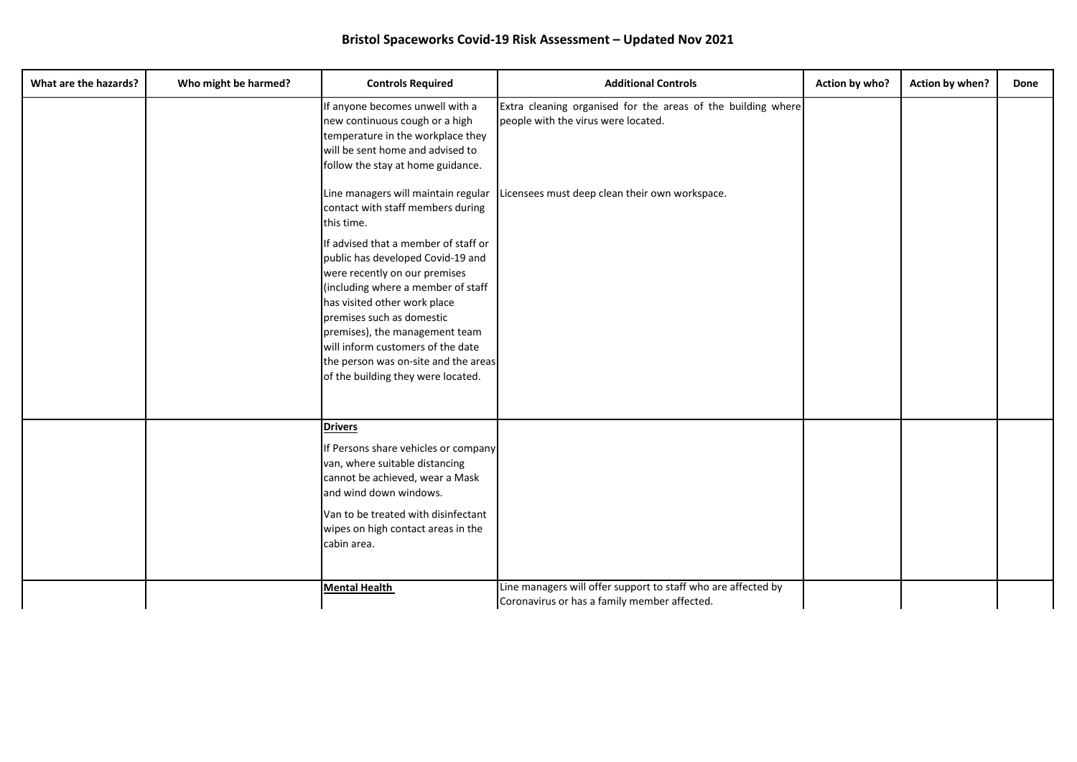| What are the hazards? | Who might be harmed? | <b>Controls Required</b>                                                                                                                                                                                                                                                                                                                                           | <b>Additional Controls</b>                                                                                    | Action by who? | Action by when? | Done |
|-----------------------|----------------------|--------------------------------------------------------------------------------------------------------------------------------------------------------------------------------------------------------------------------------------------------------------------------------------------------------------------------------------------------------------------|---------------------------------------------------------------------------------------------------------------|----------------|-----------------|------|
|                       |                      | If anyone becomes unwell with a<br>new continuous cough or a high<br>temperature in the workplace they<br>will be sent home and advised to<br>follow the stay at home guidance.                                                                                                                                                                                    | Extra cleaning organised for the areas of the building where<br>people with the virus were located.           |                |                 |      |
|                       |                      | Line managers will maintain regular<br>contact with staff members during<br>this time.                                                                                                                                                                                                                                                                             | Licensees must deep clean their own workspace.                                                                |                |                 |      |
|                       |                      | If advised that a member of staff or<br>public has developed Covid-19 and<br>were recently on our premises<br>(including where a member of staff<br>has visited other work place<br>premises such as domestic<br>premises), the management team<br>will inform customers of the date<br>the person was on-site and the areas<br>of the building they were located. |                                                                                                               |                |                 |      |
|                       |                      | <b>Drivers</b><br>If Persons share vehicles or company<br>van, where suitable distancing<br>cannot be achieved, wear a Mask<br>and wind down windows.<br>Van to be treated with disinfectant<br>wipes on high contact areas in the<br>cabin area.                                                                                                                  |                                                                                                               |                |                 |      |
|                       |                      | <b>Mental Health</b>                                                                                                                                                                                                                                                                                                                                               | Line managers will offer support to staff who are affected by<br>Coronavirus or has a family member affected. |                |                 |      |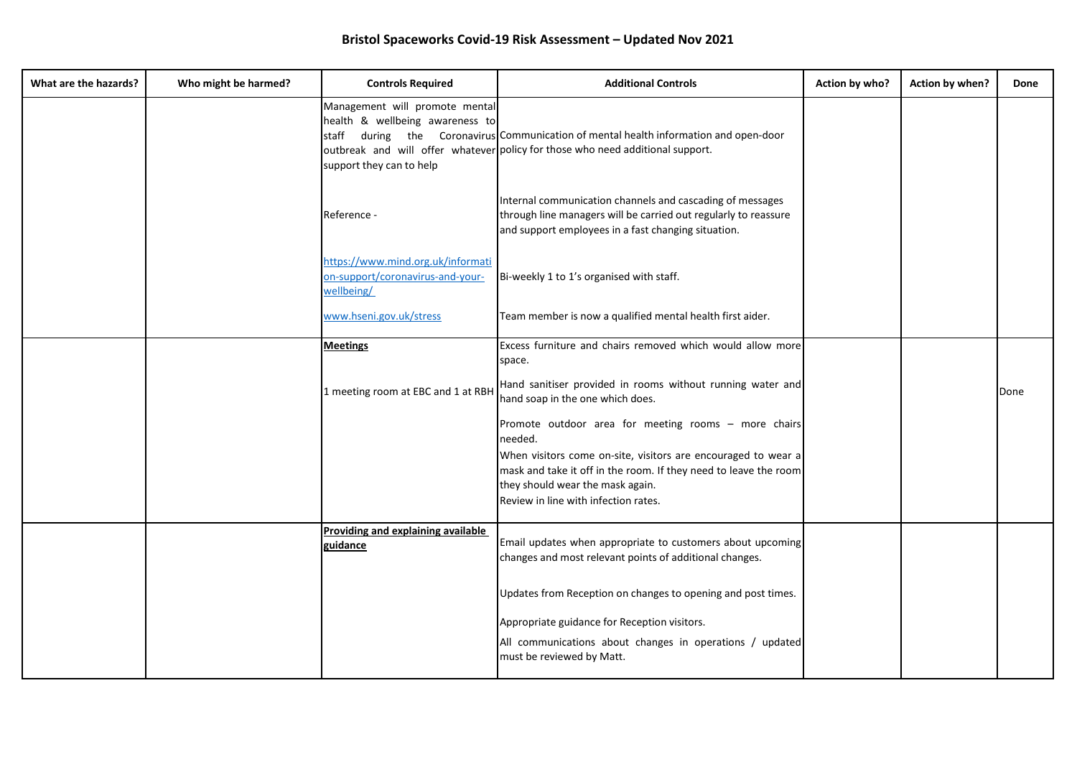| What are the hazards? | Who might be harmed? | <b>Controls Required</b>                                                                      | <b>Additional Controls</b>                                                                                                                                                                                    | Action by who? | Action by when? | Done |
|-----------------------|----------------------|-----------------------------------------------------------------------------------------------|---------------------------------------------------------------------------------------------------------------------------------------------------------------------------------------------------------------|----------------|-----------------|------|
|                       |                      | Management will promote mental<br>health & wellbeing awareness to<br>support they can to help | staff during the Coronavirus Communication of mental health information and open-door<br>outbreak and will offer whatever policy for those who need additional support.                                       |                |                 |      |
|                       |                      | Reference -                                                                                   | Internal communication channels and cascading of messages<br>through line managers will be carried out regularly to reassure<br>and support employees in a fast changing situation.                           |                |                 |      |
|                       |                      | https://www.mind.org.uk/informati<br>on-support/coronavirus-and-your-<br>wellbeing/           | Bi-weekly 1 to 1's organised with staff.                                                                                                                                                                      |                |                 |      |
|                       |                      | www.hseni.gov.uk/stress                                                                       | Team member is now a qualified mental health first aider.                                                                                                                                                     |                |                 |      |
|                       |                      | <b>Meetings</b>                                                                               | Excess furniture and chairs removed which would allow more<br>space.                                                                                                                                          |                |                 |      |
|                       |                      | 1 meeting room at EBC and 1 at RBH                                                            | Hand sanitiser provided in rooms without running water and<br>hand soap in the one which does.                                                                                                                |                |                 | Done |
|                       |                      |                                                                                               | Promote outdoor area for meeting rooms - more chairs<br>needed.                                                                                                                                               |                |                 |      |
|                       |                      |                                                                                               | When visitors come on-site, visitors are encouraged to wear a<br>mask and take it off in the room. If they need to leave the room<br>they should wear the mask again.<br>Review in line with infection rates. |                |                 |      |
|                       |                      | Providing and explaining available<br>guidance                                                | Email updates when appropriate to customers about upcoming<br>changes and most relevant points of additional changes.                                                                                         |                |                 |      |
|                       |                      |                                                                                               | Updates from Reception on changes to opening and post times.                                                                                                                                                  |                |                 |      |
|                       |                      |                                                                                               | Appropriate guidance for Reception visitors.<br>All communications about changes in operations / updated<br>must be reviewed by Matt.                                                                         |                |                 |      |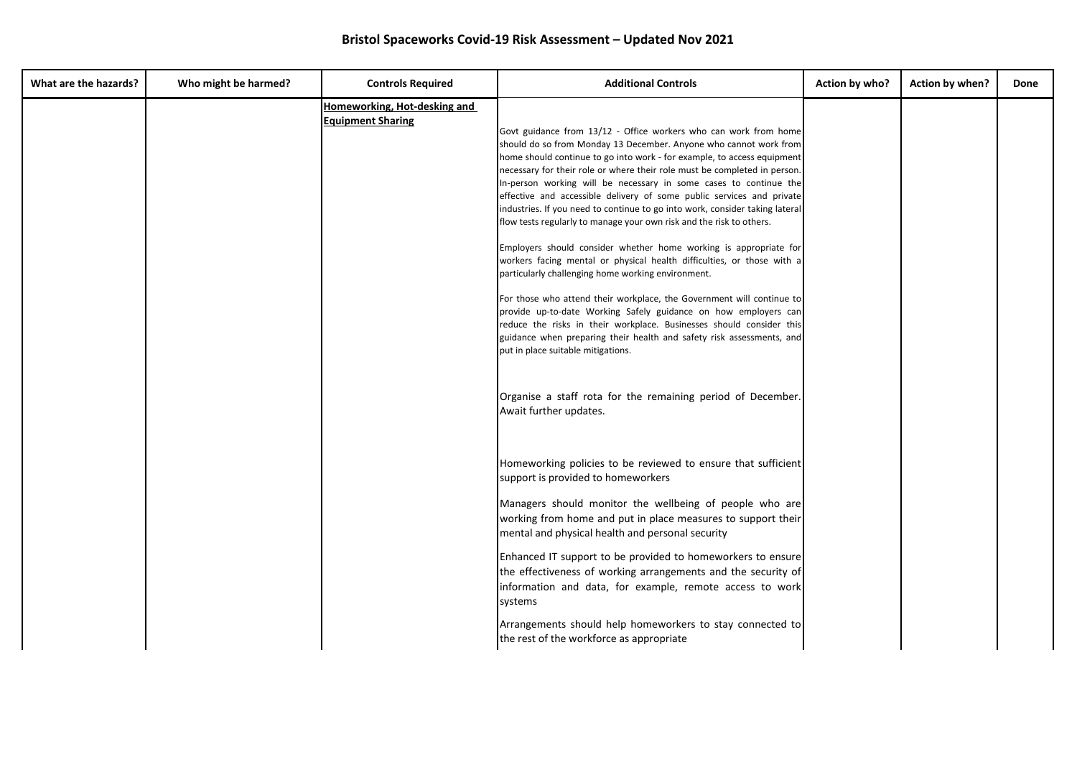| What are the hazards? | Who might be harmed? | <b>Controls Required</b>                                 | <b>Additional Controls</b>                                                                                                                                                                                                                                                                                                                                                                                                                                                                                                                                                                                                                                                                                                                                                                                                                                                                                                                                                                                                                                                                                                                                                                                 | Action by who? | Action by when? | Done |
|-----------------------|----------------------|----------------------------------------------------------|------------------------------------------------------------------------------------------------------------------------------------------------------------------------------------------------------------------------------------------------------------------------------------------------------------------------------------------------------------------------------------------------------------------------------------------------------------------------------------------------------------------------------------------------------------------------------------------------------------------------------------------------------------------------------------------------------------------------------------------------------------------------------------------------------------------------------------------------------------------------------------------------------------------------------------------------------------------------------------------------------------------------------------------------------------------------------------------------------------------------------------------------------------------------------------------------------------|----------------|-----------------|------|
|                       |                      | Homeworking, Hot-desking and<br><b>Equipment Sharing</b> | Govt guidance from 13/12 - Office workers who can work from home<br>should do so from Monday 13 December. Anyone who cannot work from<br>home should continue to go into work - for example, to access equipment<br>necessary for their role or where their role must be completed in person.<br>In-person working will be necessary in some cases to continue the<br>effective and accessible delivery of some public services and private<br>industries. If you need to continue to go into work, consider taking lateral<br>flow tests regularly to manage your own risk and the risk to others.<br>Employers should consider whether home working is appropriate for<br>workers facing mental or physical health difficulties, or those with a<br>particularly challenging home working environment.<br>For those who attend their workplace, the Government will continue to<br>provide up-to-date Working Safely guidance on how employers can<br>reduce the risks in their workplace. Businesses should consider this<br>guidance when preparing their health and safety risk assessments, and<br>put in place suitable mitigations.<br>Organise a staff rota for the remaining period of December. |                |                 |      |
|                       |                      |                                                          | Await further updates.<br>Homeworking policies to be reviewed to ensure that sufficient<br>support is provided to homeworkers<br>Managers should monitor the wellbeing of people who are<br>working from home and put in place measures to support their<br>mental and physical health and personal security<br>Enhanced IT support to be provided to homeworkers to ensure<br>the effectiveness of working arrangements and the security of<br>information and data, for example, remote access to work<br>systems<br>Arrangements should help homeworkers to stay connected to<br>the rest of the workforce as appropriate                                                                                                                                                                                                                                                                                                                                                                                                                                                                                                                                                                               |                |                 |      |